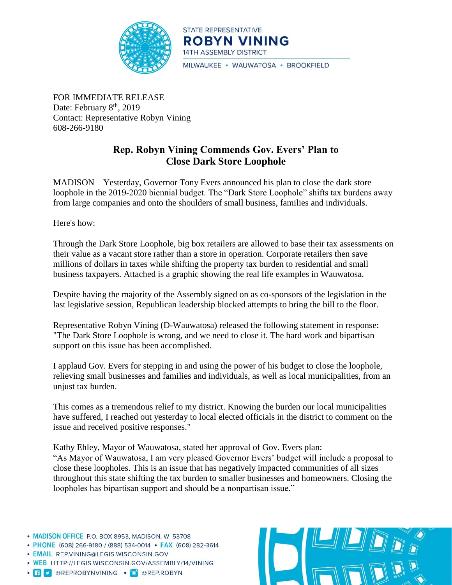

STATE REPRESENTATIVE **ROBYN VINING** 14TH ASSEMBLY DISTRICT MILWAUKEE · WAUWATOSA · BROOKFIELD

FOR IMMEDIATE RELEASE Date: February  $8<sup>th</sup>$ , 2019 Contact: Representative Robyn Vining 608-266-9180

## **Rep. Robyn Vining Commends Gov. Evers' Plan to Close Dark Store Loophole**

MADISON – Yesterday, Governor Tony Evers announced his plan to close the dark store loophole in the 2019-2020 biennial budget. The "Dark Store Loophole" shifts tax burdens away from large companies and onto the shoulders of small business, families and individuals.

Here's how:

Through the Dark Store Loophole, big box retailers are allowed to base their tax assessments on their value as a vacant store rather than a store in operation. Corporate retailers then save millions of dollars in taxes while shifting the property tax burden to residential and small business taxpayers. Attached is a graphic showing the real life examples in Wauwatosa.

Despite having the majority of the Assembly signed on as co-sponsors of the legislation in the last legislative session, Republican leadership blocked attempts to bring the bill to the floor.

Representative Robyn Vining (D-Wauwatosa) released the following statement in response: "The Dark Store Loophole is wrong, and we need to close it. The hard work and bipartisan support on this issue has been accomplished.

I applaud Gov. Evers for stepping in and using the power of his budget to close the loophole, relieving small businesses and families and individuals, as well as local municipalities, from an unjust tax burden.

This comes as a tremendous relief to my district. Knowing the burden our local municipalities have suffered, I reached out yesterday to local elected officials in the district to comment on the issue and received positive responses."

Kathy Ehley, Mayor of Wauwatosa, stated her approval of Gov. Evers plan: "As Mayor of Wauwatosa, I am very pleased Governor Evers' budget will include a proposal to close these loopholes. This is an issue that has negatively impacted communities of all sizes throughout this state shifting the tax burden to smaller businesses and homeowners. Closing the loopholes has bipartisan support and should be a nonpartisan issue."

- MADISON OFFICE P.O. BOX 8953, MADISON, WI 53708
- PHONE (608) 266-9180 / (888) 534-0014 FAX (608) 282-3614
- · EMAIL REP.VINING@LEGIS.WISCONSIN.GOV
- . WEB HTTP://LEGIS.WISCONSIN.GOV/ASSEMBLY/14/VINING
- · **f v** @REPROBYNVINING · O @REP.ROBYN